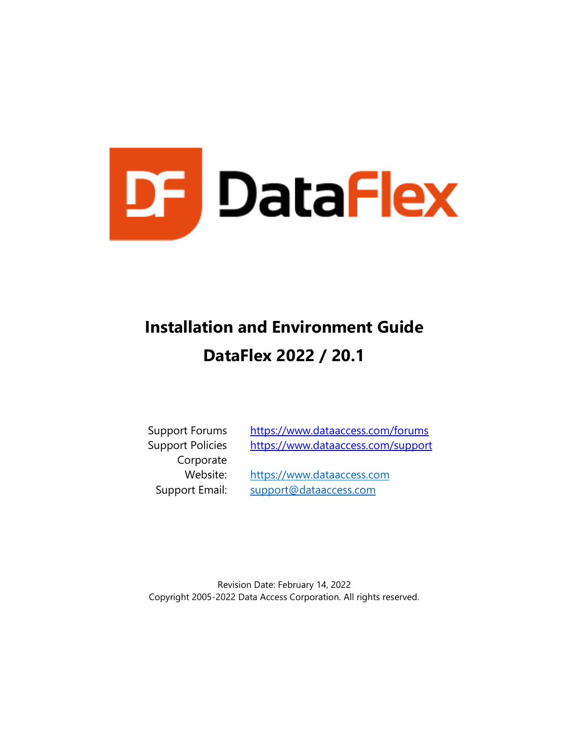

# **Installation and Environment Guide DataFlex 2022 / 20.1**

Corporate

Support Forums <https://www.dataaccess.com/forums> Support Policies <https://www.dataaccess.com/support>

Website: [https://www.dataaccess.com](https://www.dataaccess.com/) Support Email: [support@dataaccess.com](mailto:support@dataaccess.com)

Revision Date: February 14, 2022 Copyright 2005-2022 Data Access Corporation. All rights reserved.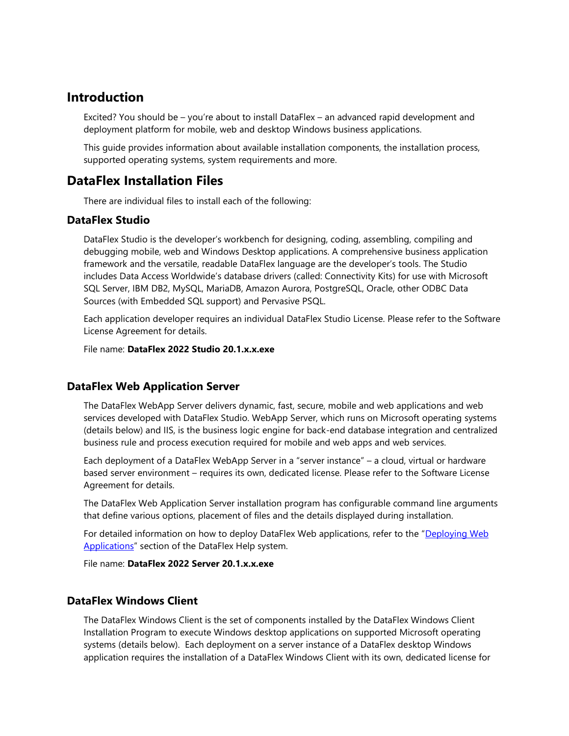## **Introduction**

Excited? You should be – you're about to install DataFlex – an advanced rapid development and deployment platform for mobile, web and desktop Windows business applications.

This guide provides information about available installation components, the installation process, supported operating systems, system requirements and more.

## **DataFlex Installation Files**

There are individual files to install each of the following:

#### **DataFlex Studio**

DataFlex Studio is the developer's workbench for designing, coding, assembling, compiling and debugging mobile, web and Windows Desktop applications. A comprehensive business application framework and the versatile, readable DataFlex language are the developer's tools. The Studio includes Data Access Worldwide's database drivers (called: Connectivity Kits) for use with Microsoft SQL Server, IBM DB2, MySQL, MariaDB, Amazon Aurora, PostgreSQL, Oracle, other ODBC Data Sources (with Embedded SQL support) and Pervasive PSQL.

Each application developer requires an individual DataFlex Studio License. Please refer to the Software License Agreement for details.

File name: **DataFlex 2022 Studio 20.1.x.x.exe**

#### **DataFlex Web Application Server**

The DataFlex WebApp Server delivers dynamic, fast, secure, mobile and web applications and web services developed with DataFlex Studio. WebApp Server, which runs on Microsoft operating systems (details below) and IIS, is the business logic engine for back-end database integration and centralized business rule and process execution required for mobile and web apps and web services.

Each deployment of a DataFlex WebApp Server in a "server instance" – a cloud, virtual or hardware based server environment – requires its own, dedicated license. Please refer to the Software License Agreement for details.

The DataFlex Web Application Server installation program has configurable command line arguments that define various options, placement of files and the details displayed during installation.

For detailed information on how to deploy DataFlex Web applications, refer to the "[Deploying Web](https://docs.dataaccess.com/dataflexhelp/#t=mergedProjects%2FDeploymentGuide%2FDeploying_Web_Applications.htm)  [Applications](https://docs.dataaccess.com/dataflexhelp/#t=mergedProjects%2FDeploymentGuide%2FDeploying_Web_Applications.htm)" section of the DataFlex Help system.

File name: **DataFlex 2022 Server 20.1.x.x.exe**

#### **DataFlex Windows Client**

The DataFlex Windows Client is the set of components installed by the DataFlex Windows Client Installation Program to execute Windows desktop applications on supported Microsoft operating systems (details below). Each deployment on a server instance of a DataFlex desktop Windows application requires the installation of a DataFlex Windows Client with its own, dedicated license for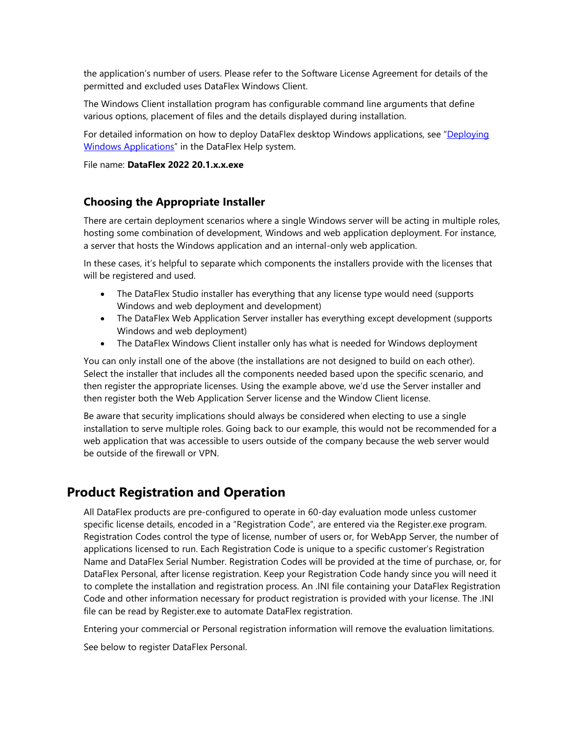the application's number of users. Please refer to the Software License Agreement for details of the permitted and excluded uses DataFlex Windows Client.

The Windows Client installation program has configurable command line arguments that define various options, placement of files and the details displayed during installation.

For detailed information on how to deploy DataFlex desktop Windows applications, see "[Deploying](https://docs.dataaccess.com/dataflexhelp/#t=mergedProjects%2FDeploymentGuide%2FDeploying_Windows_Applications.htm)  [Windows Applications](https://docs.dataaccess.com/dataflexhelp/#t=mergedProjects%2FDeploymentGuide%2FDeploying_Windows_Applications.htm)" in the DataFlex Help system.

File name: **DataFlex 2022 20.1.x.x.exe**

#### **Choosing the Appropriate Installer**

There are certain deployment scenarios where a single Windows server will be acting in multiple roles, hosting some combination of development, Windows and web application deployment. For instance, a server that hosts the Windows application and an internal-only web application.

In these cases, it's helpful to separate which components the installers provide with the licenses that will be registered and used.

- The DataFlex Studio installer has everything that any license type would need (supports Windows and web deployment and development)
- The DataFlex Web Application Server installer has everything except development (supports Windows and web deployment)
- The DataFlex Windows Client installer only has what is needed for Windows deployment

You can only install one of the above (the installations are not designed to build on each other). Select the installer that includes all the components needed based upon the specific scenario, and then register the appropriate licenses. Using the example above, we'd use the Server installer and then register both the Web Application Server license and the Window Client license.

Be aware that security implications should always be considered when electing to use a single installation to serve multiple roles. Going back to our example, this would not be recommended for a web application that was accessible to users outside of the company because the web server would be outside of the firewall or VPN.

# **Product Registration and Operation**

All DataFlex products are pre-configured to operate in 60-day evaluation mode unless customer specific license details, encoded in a "Registration Code", are entered via the Register.exe program. Registration Codes control the type of license, number of users or, for WebApp Server, the number of applications licensed to run. Each Registration Code is unique to a specific customer's Registration Name and DataFlex Serial Number. Registration Codes will be provided at the time of purchase, or, for DataFlex Personal, after license registration. Keep your Registration Code handy since you will need it to complete the installation and registration process. An .INI file containing your DataFlex Registration Code and other information necessary for product registration is provided with your license. The .INI file can be read by Register.exe to automate DataFlex registration.

Entering your commercial or Personal registration information will remove the evaluation limitations.

See below to register DataFlex Personal.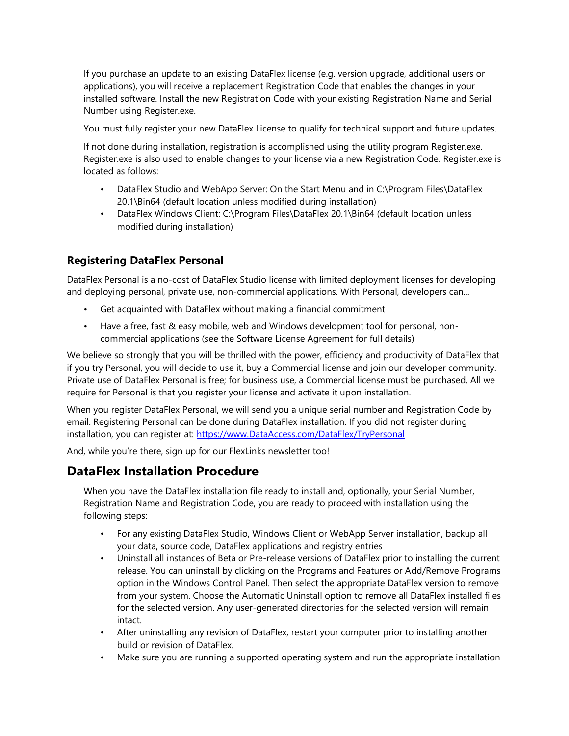If you purchase an update to an existing DataFlex license (e.g. version upgrade, additional users or applications), you will receive a replacement Registration Code that enables the changes in your installed software. Install the new Registration Code with your existing Registration Name and Serial Number using Register.exe.

You must fully register your new DataFlex License to qualify for technical support and future updates.

If not done during installation, registration is accomplished using the utility program Register.exe. Register.exe is also used to enable changes to your license via a new Registration Code. Register.exe is located as follows:

- DataFlex Studio and WebApp Server: On the Start Menu and in C:\Program Files\DataFlex 20.1\Bin64 (default location unless modified during installation)
- DataFlex Windows Client: C:\Program Files\DataFlex 20.1\Bin64 (default location unless modified during installation)

## **Registering DataFlex Personal**

DataFlex Personal is a no-cost of DataFlex Studio license with limited deployment licenses for developing and deploying personal, private use, non-commercial applications. With Personal, developers can...

- Get acquainted with DataFlex without making a financial commitment
- Have a free, fast & easy mobile, web and Windows development tool for personal, noncommercial applications (see the Software License Agreement for full details)

We believe so strongly that you will be thrilled with the power, efficiency and productivity of DataFlex that if you try Personal, you will decide to use it, buy a Commercial license and join our developer community. Private use of DataFlex Personal is free; for business use, a Commercial license must be purchased. All we require for Personal is that you register your license and activate it upon installation.

When you register DataFlex Personal, we will send you a unique serial number and Registration Code by email. Registering Personal can be done during DataFlex installation. If you did not register during installation, you can register at: https://www.DataAccess.com/DataFlex/TryPersonal

And, while you're there, sign up for our FlexLinks newsletter too!

## **DataFlex Installation Procedure**

When you have the DataFlex installation file ready to install and, optionally, your Serial Number, Registration Name and Registration Code, you are ready to proceed with installation using the following steps:

- For any existing DataFlex Studio, Windows Client or WebApp Server installation, backup all your data, source code, DataFlex applications and registry entries
- Uninstall all instances of Beta or Pre-release versions of DataFlex prior to installing the current release. You can uninstall by clicking on the Programs and Features or Add/Remove Programs option in the Windows Control Panel. Then select the appropriate DataFlex version to remove from your system. Choose the Automatic Uninstall option to remove all DataFlex installed files for the selected version. Any user-generated directories for the selected version will remain intact.
- After uninstalling any revision of DataFlex, restart your computer prior to installing another build or revision of DataFlex.
- Make sure you are running a supported operating system and run the appropriate installation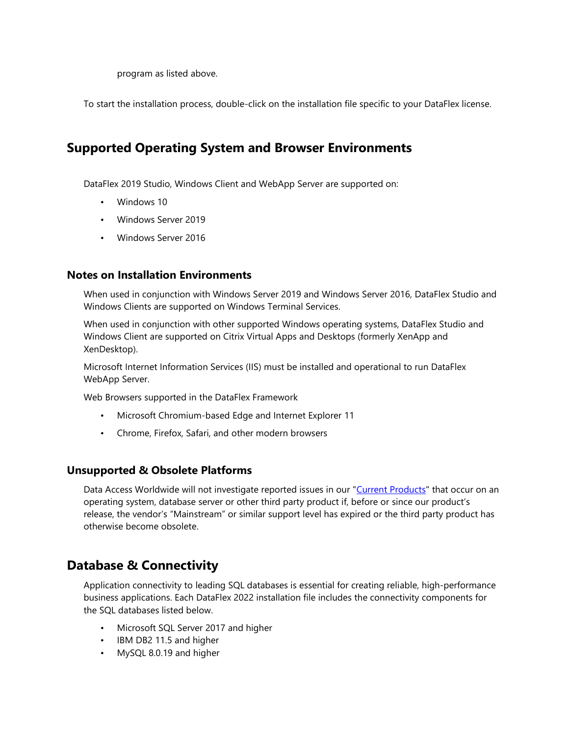program as listed above.

To start the installation process, double-click on the installation file specific to your DataFlex license.

# **Supported Operating System and Browser Environments**

DataFlex 2019 Studio, Windows Client and WebApp Server are supported on:

- Windows 10
- Windows Server 2019
- Windows Server 2016

#### **Notes on Installation Environments**

When used in conjunction with Windows Server 2019 and Windows Server 2016, DataFlex Studio and Windows Clients are supported on Windows Terminal Services.

When used in conjunction with other supported Windows operating systems, DataFlex Studio and Windows Client are supported on Citrix Virtual Apps and Desktops (formerly XenApp and XenDesktop).

Microsoft Internet Information Services (IIS) must be installed and operational to run DataFlex WebApp Server.

Web Browsers supported in the DataFlex Framework

- Microsoft Chromium-based Edge and Internet Explorer 11
- Chrome, Firefox, Safari, and other modern browsers

#### **Unsupported & Obsolete Platforms**

Data Access Worldwide will not investigate reported issues in our ["Current Products"](https://www.dataaccess.com/supportedproducts) that occur on an operating system, database server or other third party product if, before or since our product's release, the vendor's "Mainstream" or similar support level has expired or the third party product has otherwise become obsolete.

## **Database & Connectivity**

Application connectivity to leading SQL databases is essential for creating reliable, high-performance business applications. Each DataFlex 2022 installation file includes the connectivity components for the SQL databases listed below.

- Microsoft SQL Server 2017 and higher
- IBM DB2 11.5 and higher
- MySQL 8.0.19 and higher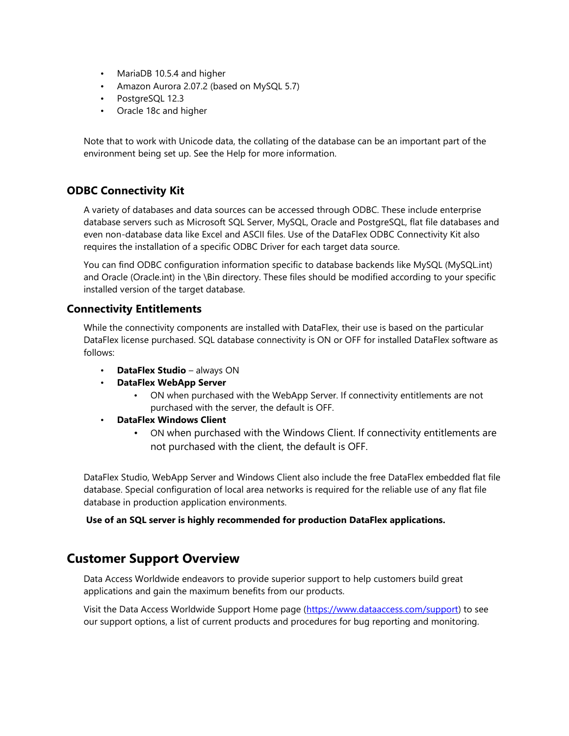- MariaDB 10.5.4 and higher
- Amazon Aurora 2.07.2 (based on MySQL 5.7)
- PostgreSQL 12.3
- Oracle 18c and higher

Note that to work with Unicode data, the collating of the database can be an important part of the environment being set up. See the Help for more information.

#### **ODBC Connectivity Kit**

A variety of databases and data sources can be accessed through ODBC. These include enterprise database servers such as Microsoft SQL Server, MySQL, Oracle and PostgreSQL, flat file databases and even non-database data like Excel and ASCII files. Use of the DataFlex ODBC Connectivity Kit also requires the installation of a specific ODBC Driver for each target data source.

You can find ODBC configuration information specific to database backends like MySQL (MySQL.int) and Oracle (Oracle.int) in the \Bin directory. These files should be modified according to your specific installed version of the target database.

#### **Connectivity Entitlements**

While the connectivity components are installed with DataFlex, their use is based on the particular DataFlex license purchased. SQL database connectivity is ON or OFF for installed DataFlex software as follows:

- **DataFlex Studio** always ON
- **DataFlex WebApp Server** 
	- ON when purchased with the WebApp Server. If connectivity entitlements are not purchased with the server, the default is OFF.
- **DataFlex Windows Client** 
	- ON when purchased with the Windows Client. If connectivity entitlements are not purchased with the client, the default is OFF.

DataFlex Studio, WebApp Server and Windows Client also include the free DataFlex embedded flat file database. Special configuration of local area networks is required for the reliable use of any flat file database in production application environments.

**Use of an SQL server is highly recommended for production DataFlex applications.** 

# **Customer Support Overview**

Data Access Worldwide endeavors to provide superior support to help customers build great applications and gain the maximum benefits from our products.

Visit the Data Access Worldwide Support Home page [\(https://www.dataaccess.com/support\)](https://www.dataaccess.com/support) to see our support options, a list of current products and procedures for bug reporting and monitoring.